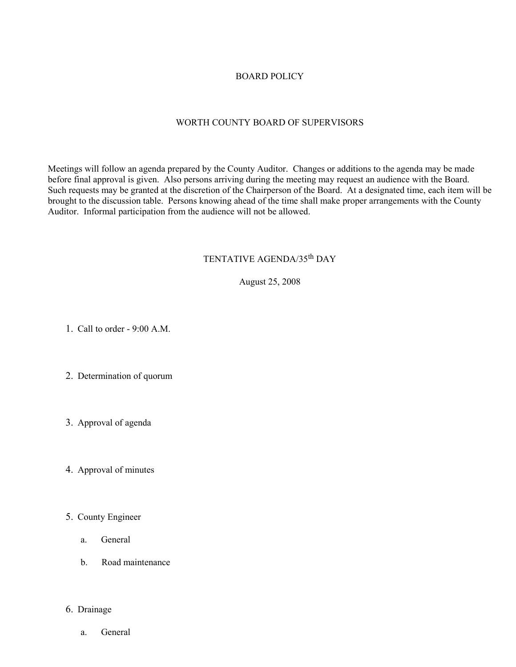## BOARD POLICY

## WORTH COUNTY BOARD OF SUPERVISORS

Meetings will follow an agenda prepared by the County Auditor. Changes or additions to the agenda may be made before final approval is given. Also persons arriving during the meeting may request an audience with the Board. Such requests may be granted at the discretion of the Chairperson of the Board. At a designated time, each item will be brought to the discussion table. Persons knowing ahead of the time shall make proper arrangements with the County Auditor. Informal participation from the audience will not be allowed.

# TENTATIVE AGENDA/35th DAY

August 25, 2008

1. Call to order - 9:00 A.M.

- 2. Determination of quorum
- 3. Approval of agenda
- 4. Approval of minutes
- 5. County Engineer
	- a. General
	- b. Road maintenance

### 6. Drainage

a. General